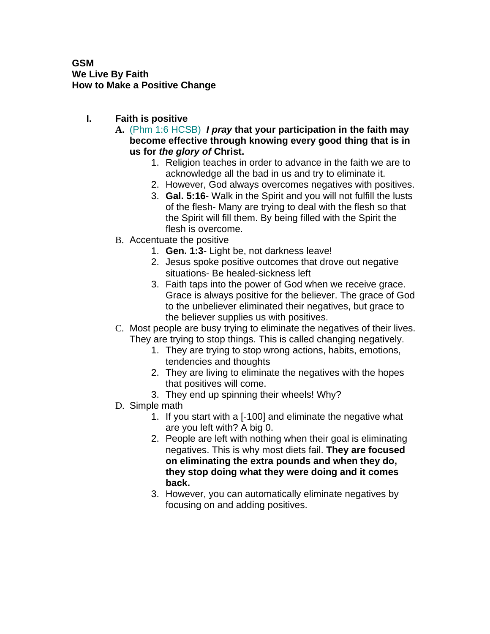## **GSM We Live By Faith How to Make a Positive Change**

- **I. Faith is positive**
	- **A.** (Phm 1:6 HCSB) *I pray* **that your participation in the faith may become effective through knowing every good thing that is in us for** *the glory of* **Christ.**
		- 1. Religion teaches in order to advance in the faith we are to acknowledge all the bad in us and try to eliminate it.
		- 2. However, God always overcomes negatives with positives.
		- 3. **Gal. 5:16** Walk in the Spirit and you will not fulfill the lusts of the flesh- Many are trying to deal with the flesh so that the Spirit will fill them. By being filled with the Spirit the flesh is overcome.
	- B. Accentuate the positive
		- 1. **Gen. 1:3** Light be, not darkness leave!
		- 2. Jesus spoke positive outcomes that drove out negative situations- Be healed-sickness left
		- 3. Faith taps into the power of God when we receive grace. Grace is always positive for the believer. The grace of God to the unbeliever eliminated their negatives, but grace to the believer supplies us with positives.
	- C. Most people are busy trying to eliminate the negatives of their lives. They are trying to stop things. This is called changing negatively.
		- 1. They are trying to stop wrong actions, habits, emotions, tendencies and thoughts
		- 2. They are living to eliminate the negatives with the hopes that positives will come.
		- 3. They end up spinning their wheels! Why?
	- D. Simple math
		- 1. If you start with a [-100] and eliminate the negative what are you left with? A big 0.
		- 2. People are left with nothing when their goal is eliminating negatives. This is why most diets fail. **They are focused on eliminating the extra pounds and when they do, they stop doing what they were doing and it comes back.**
		- 3. However, you can automatically eliminate negatives by focusing on and adding positives.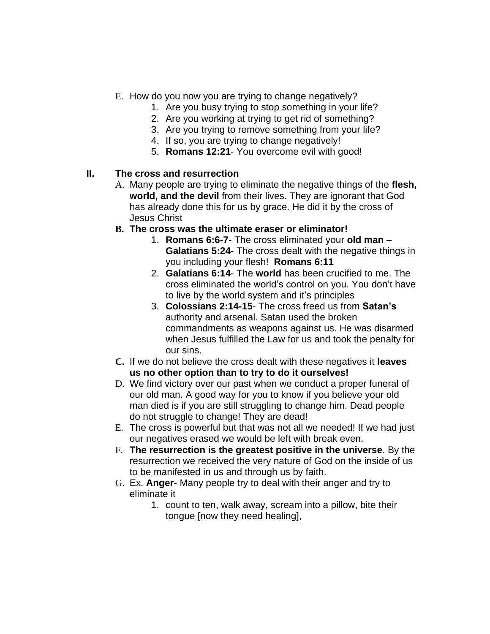- E. How do you now you are trying to change negatively?
	- 1. Are you busy trying to stop something in your life?
	- 2. Are you working at trying to get rid of something?
	- 3. Are you trying to remove something from your life?
	- 4. If so, you are trying to change negatively!
	- 5. **Romans 12:21** You overcome evil with good!

## **II. The cross and resurrection**

- A. Many people are trying to eliminate the negative things of the **flesh, world, and the devil** from their lives. They are ignorant that God has already done this for us by grace. He did it by the cross of Jesus Christ
- **B. The cross was the ultimate eraser or eliminator!**
	- 1. **Romans 6:6-7** The cross eliminated your **old man Galatians 5:24**- The cross dealt with the negative things in you including your flesh! **Romans 6:11**
	- 2. **Galatians 6:14** The **world** has been crucified to me. The cross eliminated the world's control on you. You don't have to live by the world system and it's principles
	- 3. **Colossians 2:14-15** The cross freed us from **Satan's** authority and arsenal. Satan used the broken commandments as weapons against us. He was disarmed when Jesus fulfilled the Law for us and took the penalty for our sins.
- **C.** If we do not believe the cross dealt with these negatives it **leaves us no other option than to try to do it ourselves!**
- D. We find victory over our past when we conduct a proper funeral of our old man. A good way for you to know if you believe your old man died is if you are still struggling to change him. Dead people do not struggle to change! They are dead!
- E. The cross is powerful but that was not all we needed! If we had just our negatives erased we would be left with break even.
- F. **The resurrection is the greatest positive in the universe**. By the resurrection we received the very nature of God on the inside of us to be manifested in us and through us by faith.
- G. Ex. **Anger** Many people try to deal with their anger and try to eliminate it
	- 1. count to ten, walk away, scream into a pillow, bite their tongue [now they need healing],